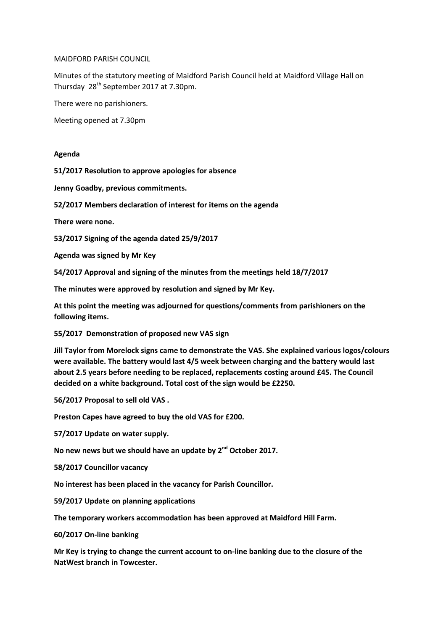MAIDFORD PARISH COUNCIL

Minutes of the statutory meeting of Maidford Parish Council held at Maidford Village Hall on Thursday 28th September 2017 at 7.30pm.

There were no parishioners.

Meeting opened at 7.30pm

## **Agenda**

**51/2017 Resolution to approve apologies for absence**

**Jenny Goadby, previous commitments.**

**52/2017 Members declaration of interest for items on the agenda**

**There were none.**

**53/2017 Signing of the agenda dated 25/9/2017**

**Agenda was signed by Mr Key**

**54/2017 Approval and signing of the minutes from the meetings held 18/7/2017**

**The minutes were approved by resolution and signed by Mr Key.**

**At this point the meeting was adjourned for questions/comments from parishioners on the following items.**

**55/2017 Demonstration of proposed new VAS sign**

**Jill Taylor from Morelock signs came to demonstrate the VAS. She explained various logos/colours were available. The battery would last 4/5 week between charging and the battery would last about 2.5 years before needing to be replaced, replacements costing around £45. The Council decided on a white background. Total cost of the sign would be £2250.**

**56/2017 Proposal to sell old VAS .**

**Preston Capes have agreed to buy the old VAS for £200.**

**57/2017 Update on water supply.**

**No new news but we should have an update by 2nd October 2017.**

**58/2017 Councillor vacancy**

**No interest has been placed in the vacancy for Parish Councillor.**

**59/2017 Update on planning applications**

**The temporary workers accommodation has been approved at Maidford Hill Farm.**

**60/2017 On-line banking**

**Mr Key is trying to change the current account to on-line banking due to the closure of the NatWest branch in Towcester.**